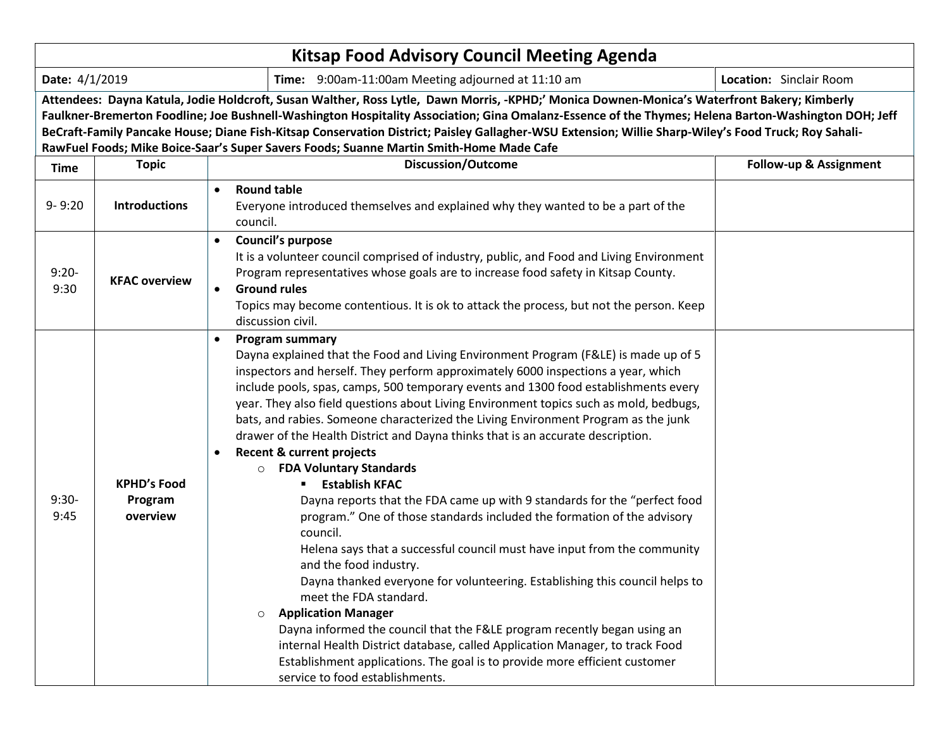| <b>Kitsap Food Advisory Council Meeting Agenda</b>                                              |                                                                                                                                                                                                                                                                                                                                                                                                                                                                                                                                                         |                                                                    |                                                                                                                                                                                                                                                                                                                                                                                                                                                                                                                                                                                                                                                                                                                                                                                                                                                                                                                                                                                                                                                                                                                                                                                                                                                                                                                                                               |                        |  |  |  |  |  |
|-------------------------------------------------------------------------------------------------|---------------------------------------------------------------------------------------------------------------------------------------------------------------------------------------------------------------------------------------------------------------------------------------------------------------------------------------------------------------------------------------------------------------------------------------------------------------------------------------------------------------------------------------------------------|--------------------------------------------------------------------|---------------------------------------------------------------------------------------------------------------------------------------------------------------------------------------------------------------------------------------------------------------------------------------------------------------------------------------------------------------------------------------------------------------------------------------------------------------------------------------------------------------------------------------------------------------------------------------------------------------------------------------------------------------------------------------------------------------------------------------------------------------------------------------------------------------------------------------------------------------------------------------------------------------------------------------------------------------------------------------------------------------------------------------------------------------------------------------------------------------------------------------------------------------------------------------------------------------------------------------------------------------------------------------------------------------------------------------------------------------|------------------------|--|--|--|--|--|
| Date: 4/1/2019<br>Location: Sinclair Room<br>Time: 9:00am-11:00am Meeting adjourned at 11:10 am |                                                                                                                                                                                                                                                                                                                                                                                                                                                                                                                                                         |                                                                    |                                                                                                                                                                                                                                                                                                                                                                                                                                                                                                                                                                                                                                                                                                                                                                                                                                                                                                                                                                                                                                                                                                                                                                                                                                                                                                                                                               |                        |  |  |  |  |  |
|                                                                                                 | Attendees: Dayna Katula, Jodie Holdcroft, Susan Walther, Ross Lytle, Dawn Morris, -KPHD;' Monica Downen-Monica's Waterfront Bakery; Kimberly<br>Faulkner-Bremerton Foodline; Joe Bushnell-Washington Hospitality Association; Gina Omalanz-Essence of the Thymes; Helena Barton-Washington DOH; Jeff<br>BeCraft-Family Pancake House; Diane Fish-Kitsap Conservation District; Paisley Gallagher-WSU Extension; Willie Sharp-Wiley's Food Truck; Roy Sahali-<br>RawFuel Foods; Mike Boice-Saar's Super Savers Foods; Suanne Martin Smith-Home Made Cafe |                                                                    |                                                                                                                                                                                                                                                                                                                                                                                                                                                                                                                                                                                                                                                                                                                                                                                                                                                                                                                                                                                                                                                                                                                                                                                                                                                                                                                                                               |                        |  |  |  |  |  |
| <b>Time</b>                                                                                     | <b>Topic</b>                                                                                                                                                                                                                                                                                                                                                                                                                                                                                                                                            |                                                                    | <b>Discussion/Outcome</b>                                                                                                                                                                                                                                                                                                                                                                                                                                                                                                                                                                                                                                                                                                                                                                                                                                                                                                                                                                                                                                                                                                                                                                                                                                                                                                                                     | Follow-up & Assignment |  |  |  |  |  |
| $9 - 9:20$                                                                                      | <b>Introductions</b>                                                                                                                                                                                                                                                                                                                                                                                                                                                                                                                                    | <b>Round table</b><br>$\bullet$<br>council.                        | Everyone introduced themselves and explained why they wanted to be a part of the                                                                                                                                                                                                                                                                                                                                                                                                                                                                                                                                                                                                                                                                                                                                                                                                                                                                                                                                                                                                                                                                                                                                                                                                                                                                              |                        |  |  |  |  |  |
| $9:20 -$<br>9:30                                                                                | <b>KFAC overview</b>                                                                                                                                                                                                                                                                                                                                                                                                                                                                                                                                    | $\bullet$<br><b>Ground rules</b><br>$\bullet$<br>discussion civil. | <b>Council's purpose</b><br>It is a volunteer council comprised of industry, public, and Food and Living Environment<br>Program representatives whose goals are to increase food safety in Kitsap County.<br>Topics may become contentious. It is ok to attack the process, but not the person. Keep                                                                                                                                                                                                                                                                                                                                                                                                                                                                                                                                                                                                                                                                                                                                                                                                                                                                                                                                                                                                                                                          |                        |  |  |  |  |  |
| $9:30-$<br>9:45                                                                                 | <b>KPHD's Food</b><br>Program<br>overview                                                                                                                                                                                                                                                                                                                                                                                                                                                                                                               | $\circ$                                                            | <b>Program summary</b><br>Dayna explained that the Food and Living Environment Program (F&LE) is made up of 5<br>inspectors and herself. They perform approximately 6000 inspections a year, which<br>include pools, spas, camps, 500 temporary events and 1300 food establishments every<br>year. They also field questions about Living Environment topics such as mold, bedbugs,<br>bats, and rabies. Someone characterized the Living Environment Program as the junk<br>drawer of the Health District and Dayna thinks that is an accurate description.<br><b>Recent &amp; current projects</b><br><b>FDA Voluntary Standards</b><br><b>Establish KFAC</b><br>Dayna reports that the FDA came up with 9 standards for the "perfect food<br>program." One of those standards included the formation of the advisory<br>council.<br>Helena says that a successful council must have input from the community<br>and the food industry.<br>Dayna thanked everyone for volunteering. Establishing this council helps to<br>meet the FDA standard.<br><b>Application Manager</b><br>Dayna informed the council that the F&LE program recently began using an<br>internal Health District database, called Application Manager, to track Food<br>Establishment applications. The goal is to provide more efficient customer<br>service to food establishments. |                        |  |  |  |  |  |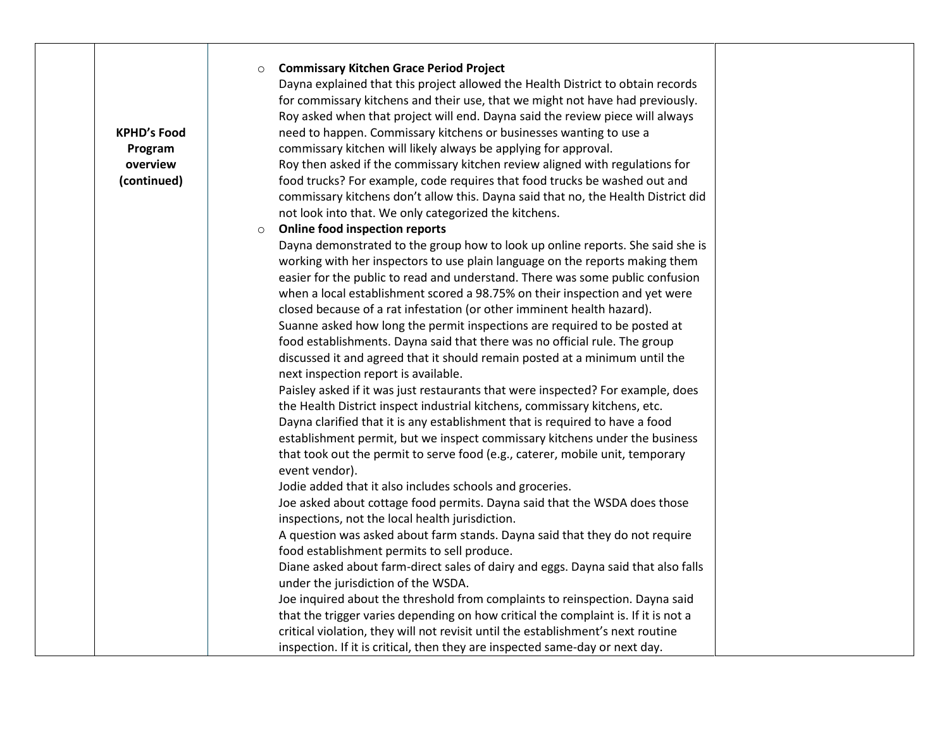| <b>Commissary Kitchen Grace Period Project</b><br>$\circ$<br>Dayna explained that this project allowed the Health District to obtain records<br>for commissary kitchens and their use, that we might not have had previously.<br>Roy asked when that project will end. Dayna said the review piece will always<br>need to happen. Commissary kitchens or businesses wanting to use a<br><b>KPHD's Food</b><br>commissary kitchen will likely always be applying for approval.<br>Program<br>overview<br>Roy then asked if the commissary kitchen review aligned with regulations for<br>(continued)<br>food trucks? For example, code requires that food trucks be washed out and<br>commissary kitchens don't allow this. Dayna said that no, the Health District did<br>not look into that. We only categorized the kitchens.<br><b>Online food inspection reports</b><br>$\circ$<br>Dayna demonstrated to the group how to look up online reports. She said she is<br>working with her inspectors to use plain language on the reports making them<br>easier for the public to read and understand. There was some public confusion<br>when a local establishment scored a 98.75% on their inspection and yet were<br>closed because of a rat infestation (or other imminent health hazard).<br>Suanne asked how long the permit inspections are required to be posted at<br>food establishments. Dayna said that there was no official rule. The group<br>discussed it and agreed that it should remain posted at a minimum until the<br>next inspection report is available.<br>Paisley asked if it was just restaurants that were inspected? For example, does<br>the Health District inspect industrial kitchens, commissary kitchens, etc.<br>Dayna clarified that it is any establishment that is required to have a food<br>establishment permit, but we inspect commissary kitchens under the business<br>that took out the permit to serve food (e.g., caterer, mobile unit, temporary<br>event vendor).<br>Jodie added that it also includes schools and groceries.<br>Joe asked about cottage food permits. Dayna said that the WSDA does those<br>inspections, not the local health jurisdiction.<br>A question was asked about farm stands. Dayna said that they do not require |  |                                             |  |
|-------------------------------------------------------------------------------------------------------------------------------------------------------------------------------------------------------------------------------------------------------------------------------------------------------------------------------------------------------------------------------------------------------------------------------------------------------------------------------------------------------------------------------------------------------------------------------------------------------------------------------------------------------------------------------------------------------------------------------------------------------------------------------------------------------------------------------------------------------------------------------------------------------------------------------------------------------------------------------------------------------------------------------------------------------------------------------------------------------------------------------------------------------------------------------------------------------------------------------------------------------------------------------------------------------------------------------------------------------------------------------------------------------------------------------------------------------------------------------------------------------------------------------------------------------------------------------------------------------------------------------------------------------------------------------------------------------------------------------------------------------------------------------------------------------------------------------------------------------------------------------------------------------------------------------------------------------------------------------------------------------------------------------------------------------------------------------------------------------------------------------------------------------------------------------------------------------------------------------------------------------------------------------------------------|--|---------------------------------------------|--|
| Diane asked about farm-direct sales of dairy and eggs. Dayna said that also falls<br>under the jurisdiction of the WSDA.<br>Joe inquired about the threshold from complaints to reinspection. Dayna said<br>that the trigger varies depending on how critical the complaint is. If it is not a                                                                                                                                                                                                                                                                                                                                                                                                                                                                                                                                                                                                                                                                                                                                                                                                                                                                                                                                                                                                                                                                                                                                                                                                                                                                                                                                                                                                                                                                                                                                                                                                                                                                                                                                                                                                                                                                                                                                                                                                  |  | food establishment permits to sell produce. |  |
| critical violation, they will not revisit until the establishment's next routine<br>inspection. If it is critical, then they are inspected same-day or next day.                                                                                                                                                                                                                                                                                                                                                                                                                                                                                                                                                                                                                                                                                                                                                                                                                                                                                                                                                                                                                                                                                                                                                                                                                                                                                                                                                                                                                                                                                                                                                                                                                                                                                                                                                                                                                                                                                                                                                                                                                                                                                                                                |  |                                             |  |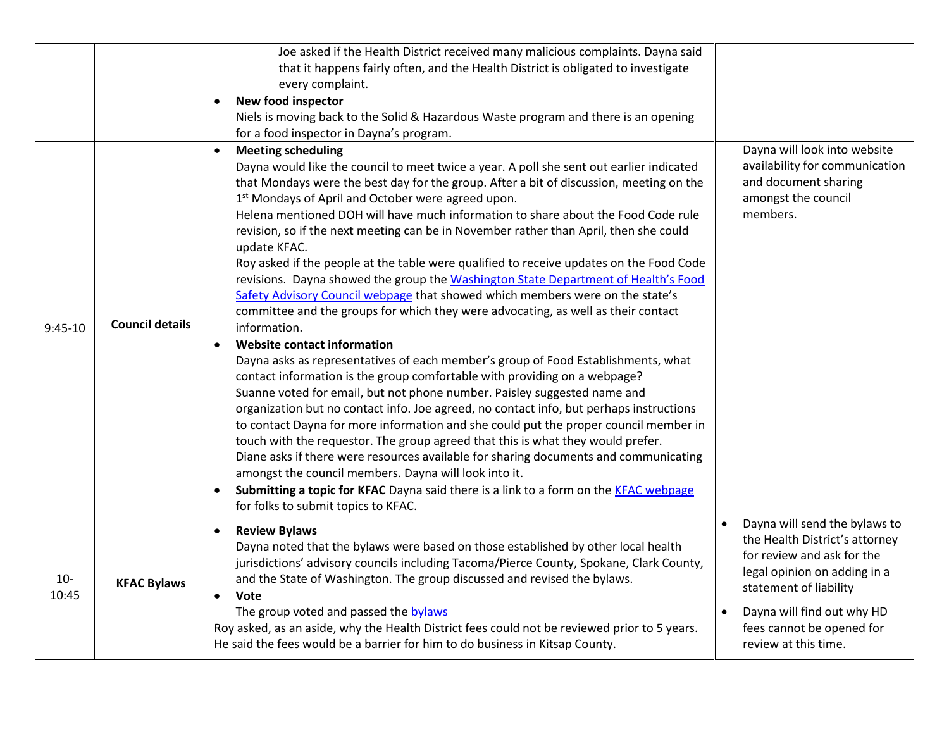|                |                        | Joe asked if the Health District received many malicious complaints. Dayna said<br>that it happens fairly often, and the Health District is obligated to investigate<br>every complaint.<br><b>New food inspector</b><br>$\bullet$                                                                                                                                                                                                                                                                                                                                                                                                                                                                                                                                                                                                                                                                                                                                                                                                                                                                                                                                                                                                                                                                                                                                                                                                                                                                                                                                                                                                                                                                             |                                                                                                                                                                                                                                                                      |
|----------------|------------------------|----------------------------------------------------------------------------------------------------------------------------------------------------------------------------------------------------------------------------------------------------------------------------------------------------------------------------------------------------------------------------------------------------------------------------------------------------------------------------------------------------------------------------------------------------------------------------------------------------------------------------------------------------------------------------------------------------------------------------------------------------------------------------------------------------------------------------------------------------------------------------------------------------------------------------------------------------------------------------------------------------------------------------------------------------------------------------------------------------------------------------------------------------------------------------------------------------------------------------------------------------------------------------------------------------------------------------------------------------------------------------------------------------------------------------------------------------------------------------------------------------------------------------------------------------------------------------------------------------------------------------------------------------------------------------------------------------------------|----------------------------------------------------------------------------------------------------------------------------------------------------------------------------------------------------------------------------------------------------------------------|
|                |                        | Niels is moving back to the Solid & Hazardous Waste program and there is an opening<br>for a food inspector in Dayna's program.                                                                                                                                                                                                                                                                                                                                                                                                                                                                                                                                                                                                                                                                                                                                                                                                                                                                                                                                                                                                                                                                                                                                                                                                                                                                                                                                                                                                                                                                                                                                                                                |                                                                                                                                                                                                                                                                      |
| $9:45-10$      | <b>Council details</b> | <b>Meeting scheduling</b><br>Dayna would like the council to meet twice a year. A poll she sent out earlier indicated<br>that Mondays were the best day for the group. After a bit of discussion, meeting on the<br>1 <sup>st</sup> Mondays of April and October were agreed upon.<br>Helena mentioned DOH will have much information to share about the Food Code rule<br>revision, so if the next meeting can be in November rather than April, then she could<br>update KFAC.<br>Roy asked if the people at the table were qualified to receive updates on the Food Code<br>revisions. Dayna showed the group the Washington State Department of Health's Food<br>Safety Advisory Council webpage that showed which members were on the state's<br>committee and the groups for which they were advocating, as well as their contact<br>information.<br><b>Website contact information</b><br>$\bullet$<br>Dayna asks as representatives of each member's group of Food Establishments, what<br>contact information is the group comfortable with providing on a webpage?<br>Suanne voted for email, but not phone number. Paisley suggested name and<br>organization but no contact info. Joe agreed, no contact info, but perhaps instructions<br>to contact Dayna for more information and she could put the proper council member in<br>touch with the requestor. The group agreed that this is what they would prefer.<br>Diane asks if there were resources available for sharing documents and communicating<br>amongst the council members. Dayna will look into it.<br>Submitting a topic for KFAC Dayna said there is a link to a form on the KFAC webpage<br>for folks to submit topics to KFAC. | Dayna will look into website<br>availability for communication<br>and document sharing<br>amongst the council<br>members.                                                                                                                                            |
| $10-$<br>10:45 | <b>KFAC Bylaws</b>     | <b>Review Bylaws</b><br>$\bullet$<br>Dayna noted that the bylaws were based on those established by other local health<br>jurisdictions' advisory councils including Tacoma/Pierce County, Spokane, Clark County,<br>and the State of Washington. The group discussed and revised the bylaws.<br>Vote<br>The group voted and passed the bylaws<br>Roy asked, as an aside, why the Health District fees could not be reviewed prior to 5 years.<br>He said the fees would be a barrier for him to do business in Kitsap County.                                                                                                                                                                                                                                                                                                                                                                                                                                                                                                                                                                                                                                                                                                                                                                                                                                                                                                                                                                                                                                                                                                                                                                                 | Dayna will send the bylaws to<br>$\bullet$<br>the Health District's attorney<br>for review and ask for the<br>legal opinion on adding in a<br>statement of liability<br>Dayna will find out why HD<br>$\bullet$<br>fees cannot be opened for<br>review at this time. |